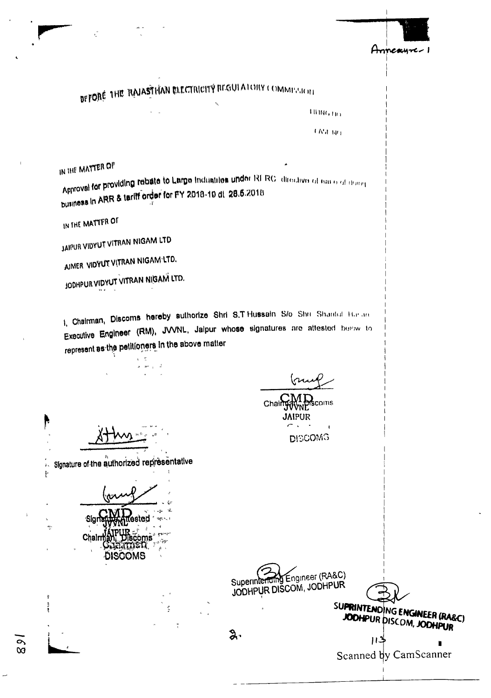

BEFORE THE RAIASTHAN ELECTRICITY REGULATORY COMMESTERL

синати

**EN**d Nri

IN THE MATTER OF

Approval for providing rebate to Large Industries under RI RC directive of eases of doing business in ARR & tariff order for PY 2018-19 dt 28.6.2018

IN THE MATTER OF

þ

 $\tilde{\mathbf{z}}$  .  $\frac{1}{k}$ 

÷

0  $\infty$  JAIPUR VIDYUT VITRAN NIGAM LTD

AIMER VIDYUT VITRAN NIGAM LTD.

JODHPUR VIDYUT VITRAN NIGAM LTD.

1, Chairman, Discoms hereby authorize Shri S.T Hussain S/o Shri Shantul Harlan Executive Engineer (RM), JVVNL, Jalpur whose signatures are attested below to represent as the petitioners in the above matter

Signature of the authorized representative

Sigr Chairma DISCOMS

 $\mathbf{r}^{\prime}$ 

Superintending Engineer (RA&C) JODHPUR DISCOM, JODHPUR

Chair

**DISCOMS** 

 $2.5$ 

JODHPUR DISCOM, JODHPUR  $\boldsymbol{\mu}$ 

SUPRINTENDING ENGINEER (RA&C)

Scanned by CamScanner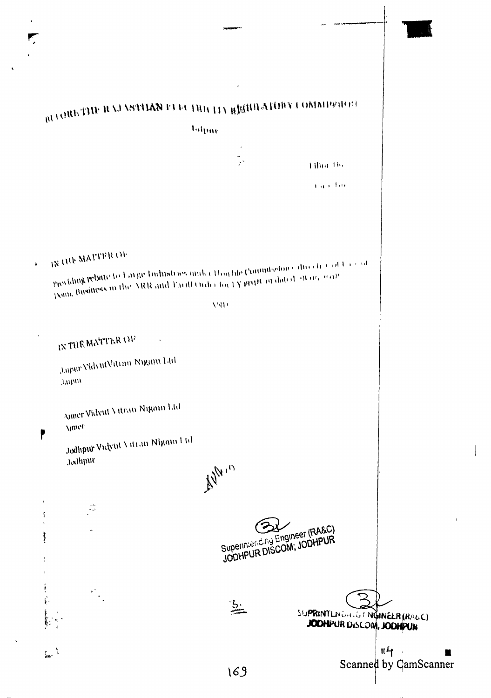$\overline{\phantom{a}}$ 

| è                                                                                                                                      |                                                 |                                                            |
|----------------------------------------------------------------------------------------------------------------------------------------|-------------------------------------------------|------------------------------------------------------------|
|                                                                                                                                        | $\hat{\phantom{a}}$                             |                                                            |
| BU CHESTING II NA VSTALANCE UNIC THUCH Y REGULATION COMMUNISMENT                                                                       |                                                 |                                                            |
|                                                                                                                                        | Infpar                                          |                                                            |
|                                                                                                                                        | $\hat{\phantom{a}}$                             |                                                            |
|                                                                                                                                        | $\mathbb{R}^*$                                  | <b>Tiling The</b>                                          |
|                                                                                                                                        |                                                 | $\mathbf{f}$ and $\mathbf{f}$ are                          |
|                                                                                                                                        |                                                 |                                                            |
|                                                                                                                                        |                                                 |                                                            |
| <b>IN THE MATTER OF</b><br>Pun iding relativity to Large Industries ander Houthe Commission entire tree of Largest<br>$\ddot{\bullet}$ |                                                 |                                                            |
| December 2008 and Paul Order for LY PDH 19 dated 48 up, with paint the SRR and Paul Order for LY PDH 19 dated 48 up, with              | $V\sqrt{11}$                                    |                                                            |
|                                                                                                                                        |                                                 |                                                            |
| $\sim 4$<br>IN THE MATTER OF<br>$\pmb{\ast}$                                                                                           |                                                 |                                                            |
| Japar VidyutVitran Nigam Ltd<br>$\mu\nu\mu\mu$                                                                                         |                                                 |                                                            |
| Amer Vidyut Vitran Nigam Ltd<br><b>Vitter.</b>                                                                                         |                                                 |                                                            |
| ŗ<br>Jodhpur Vulyut Vitran Nigam I td<br>Jodhpur                                                                                       |                                                 |                                                            |
|                                                                                                                                        | $\mathbb{A}^{\mathbb{N}^{\mathbb{N}^{\times}}}$ |                                                            |
| $\frac{1}{2}$                                                                                                                          |                                                 |                                                            |
| بمائضهمان                                                                                                                              |                                                 | Superinteriding Engineer (RA&C)<br>JODHPUR DISCOM, JODHPUR |
|                                                                                                                                        |                                                 |                                                            |
| $\frac{d^2}{d^2}$                                                                                                                      | $\frac{1}{2}$                                   | SUPRINTLNOGIOT NUMEER (RAGC)                               |
|                                                                                                                                        |                                                 | JODHPUR DISCOM, JODHPUR                                    |
| $\sum_{\mathbf{k} \in \mathcal{K}} \mathcal{N}$                                                                                        |                                                 | Scanned by CamScanner                                      |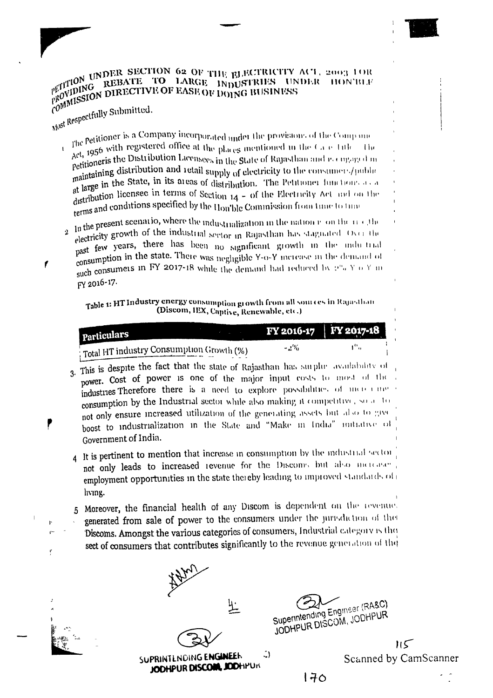## PETITION UNDER SECTION 62 OF THE ELECTRICITY ACT, 2003 10R PETITION UNKNOWNED TO LARGE INDUSTRIES UNDER HON'BLE PROVIDING REBATE TO LARGE INDUSTRIES UNDER HON'BLE PROVIDING DIRECTIVE OF EASE OF DOING BUSINESS

Most Respectfully Submitted.

 $\mathbf t$ 

ř.

The Petitioner is a Company incorporated under the provisions of the Company The even measured office at the places mentioned in the Case Title<br>Act, 1956 estimates Distribution 1.1. - Un Act, 220 and 230 and 230 and 230 and 230 and 230 and 230 and 230 and 230 and 230 and 230 and 230 and 230 and 230 and 230 and 230 and 230 and 230 and 230 and 230 and 230 and 230 and 230 and 230 and 230 and 230 and 230 and 2 remering distribution and retail supply of electricity to the consumers/public maintaining distribution and retail supply of electricity to the consumers/public manner in the State, in its areas of distribution. The Petitioner functions as a at  $m \cdot \frac{1}{2}$  distribution licensee in terms of Section  $14 - 6$ f the Electricity Act and on the terms and conditions specified by the Hou'ble Commission from time to this

2 In the present scenario, where the industrialization in the nation room the method electricity growth of the industrial sector in Rajasthan has stagnated. Over the past few years, there has been no significant growth in the indu-trial consumption in the state. There was negligible Y-o-Y increase in the demand of such consumers in FY 2017-18 while the demand had reduced by 2"a Y o Y in FY 2016-17.

#### Table 1: HT Industry energy consumption growth from all sources in Rajasthan (Discom, IEX, Captive, Renewable, etc.)

| <b>Particulars</b>                                     | FY 2016-17   FY 2017-18 |  |
|--------------------------------------------------------|-------------------------|--|
| $\frac{1}{2}$ Total HT industry Consumption Growth (%) | - 2%                    |  |

- 3. This is despite the fact that the state of Rajasthan has surplue availability of power. Cost of power is one of the major input costs to most of the industries Therefore there is a need to explore possibilities of more cumconsumption by the Industrial sector while also making it competitive, so a to not only ensure increased utilization of the generating assets but also to give boost to industrialization in the State and "Make in India" initiative of Government of India.
- 4 It is pertinent to mention that increase in consumption by the industrial sector not only leads to increased revenue for the Discoms but also increase employment opportunities in the state thereby leading to improved standards of living.
- 5 Moreover, the financial health of any Discom is dependent on the revenue.
- generated from sale of power to the consumers under the jurisdiction of the Discoms. Amongst the various categories of consumers, Industrial category is the sect of consumers that contributes significantly to the revenue generation of the

 $\cup$ SUPRINTENDING ENGINEER JODHPUR DISCOM, JODHPUR

Superintending Engineer (RA&C) JODHPUR DISCOM, JODHPUR

 $\mathsf{H}\mathsf{S}$ Scanned by CamScanner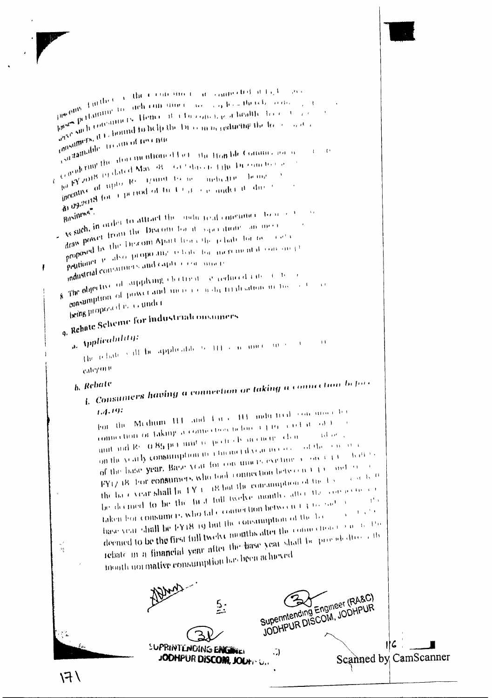

ł

 $\sim$   $\mu_{\rm{tot}}$ 

 $\sim 100$ 

 $\mu^{\text{sc}}\theta^{\text{HIS}}\xrightarrow{\text{Hilb}(t)}\mu^{\text{Hilb}(t)}\mu^{\text{Hilb}(t)}\text{d}\theta^{\text{Hilb}(t)}\text{d}\theta^{\text{Hilb}(t)}\text{d}\theta^{\text{Hilb}(t)}\text{d}\theta^{\text{Hilb}(t)}\text{d}\theta^{\text{Hilb}(t)}\text{d}\theta^{\text{Hilb}(t)}\text{d}\theta^{\text{Hilb}(t)}\text{d}\theta^{\text{Hilb}(t)}\text{d}\theta^{\text{Hilb}(t)}\text{d}\theta^{\text{Hilb}(t)}\text{d}\theta^$  $\frac{10^{36}}{10^{36}}\frac{60^{115}-1.0^{111}}{20^{111}}$  for the defending to and the time case and possible of the construction of the contract of the temperature of the temperature of the temperature of the temperature of the tempe  $\frac{1}{4\pi^3} \frac{\text{pt times}}{\text{pt times}} \frac{\text{pt times}}{\text{pt times}} \frac{\text{pt times}}{\text{pt times}} \frac{\text{pt times}}{\text{pt times}} \frac{\text{pt times}}{\text{pt times}} \frac{\text{pt times}}{\text{pt times}} \frac{\text{pt times}}{\text{pt times}} \frac{\text{pt times}}{\text{pt times}} \frac{\text{pt times}}{\text{pt times}} \frac{\text{pt times}}{\text{pt times}} \frac{\text{pt times}}{\text{pt times}} \frac{\text{pt times}}{\text{pt times}} \frac{\text{pt times}}{\text{pt times}} \frac{\text{pt times}}{\text{pt times}} \frac{\text{pt times}}{\text{pt times$  $\frac{1}{\omega^{3/2}}\sup_{\omega\in\Omega}\frac{\sin\left(\frac{1}{2}\right)\cos\left(\frac{1}{2}\right)}{\sin\left(\frac{1}{2}\right)}\frac{1}{\sin\left(\frac{1}{2}\right)}\frac{1}{\sin\left(\frac{1}{2}\right)}\frac{1}{\sin\left(\frac{1}{2}\right)}\frac{1}{\sin\left(\frac{1}{2}\right)}\frac{1}{\sin\left(\frac{1}{2}\right)}\frac{1}{\sin\left(\frac{1}{2}\right)}\frac{1}{\sin\left(\frac{1}{2}\right)}\frac{1}{\sin\left(\frac{1}{2}\right)}\frac{1}{\sin\left(\frac{1}{2$ rousser and the treatment fire of  $\frac{e^{3(1.557)}}{2}$  (equality the situation of the state the Hem ble Commissions) Condition of the distribution of the Home Division of the Division to the Real Property of the Property of the Property of the Property of the Property of the Property of the Property of the Property of the Property of the  $\mathbf{I} = \mathbf{I}^i$  $\mu^d$   $\beta Y^{2(1112)}$ ,  $\gamma$  and  $\alpha$  is the second the second  $\mu^d$  of  $\mu^d$  is the problem of  $\mu^d$  is the second the second the second the second the second the second the second the second the second the second the s incomparison of the Case of the Constraint of the Constraint of the Constraint of the Constraint of the Construction of the Constraint of the Construction of the Construction of the Construction of the Construction of the  $\frac{1}{2}$  and the state of the state of the measurement of the state of the state of the state of the Branch for  $\beta$  $\rightarrow$ As such the Discount of the interest of the context of the second the process of the second theory of the second the second the second the second the second the second the second the second the second the second the second draw Provision in April from the polaritative and merit-<br>proposed by the Discom April from the polaritation of the sector property of the state of the security of the security of the state of the state of the state of the state of the state property of the state of the state of the state property of the state state state state state state sta poussers. The magnetic standard to the state of the magnetic property of the magnetic state of the magnetic state of the state of the state of the state of the state of the state of the state of the state of the state of t when  $\frac{1}{2}$  and  $\frac{1}{2}$  and  $\frac{1}{2}$  and  $\frac{1}{2}$  and  $\frac{1}{2}$  and  $\frac{1}{2}$  and  $\frac{1}{2}$  and  $\frac{1}{2}$  and  $\frac{1}{2}$  and  $\frac{1}{2}$  and  $\frac{1}{2}$  and  $\frac{1}{2}$  and  $\frac{1}{2}$  and  $\frac{1}{2}$  and  $\frac{1}{2}$  and  $\frac{1}{$ The non-time of power and increase is during the distribution of the set being proposed is a cumder 9. Rehate Scheme for Industrial on sumers a. Applicability: The relations iff be applicable to  $114\times$  n, unce  $10\times10^{-4}$  $\rightarrow$ categoria L. Consumers having a connection or taking a connection before <sub>b.</sub> Rebate For the Medium H4 and City of H3 and<br>a first consumer to connection or faking a connection before  $3.440\pm0.44$  at  $-0.31$ unit and Rs. O.85 per unit is qualityly in energy claim. Admira on the yearly consumption in a memoral year in every of the sensional of the base year. Base year for consumers existing a constant  $\bar{\mathbf{W}}^{\mathrm{H}+1,i}$ FY17.48. For consumers who took connection between  $Y(Y)$  and so the base year shall be  $\mathbf{1} \mathbf{Y}$  to 18 but the consimulation of the  $\mathbf{1}(\mathbf{y}) = e^{i\mathbf{q} \cdot \mathbf{I}\mathbf{y} \cdot \mathbf{B}}$ be decided to be the first full twelve months after the comparisonal taken from consumers, who fall cloniter tion between  $1/3$  to  $\frac{1}{2}$  of  $\frac{1}{2}$  $\mathcal{X}^{\mathcal{X}}$  is base year shall be FY18 19 but the consumption of the bedeemed to be the first full twelve months after the commetion (2000) and the rebate in a financial year after the hase year shall be provided<br>(i.e. ) in  $\frac{1}{16}$ month normalive consumption has been achieved Superintending Engineer (RA&C) JODHPUR DISCOM, JODHPUR

SUPRINTENDING ENGINE

JODHPUR DISCOM, JOUTH U.

. . )

λŽ

116 Scanned by CamScanner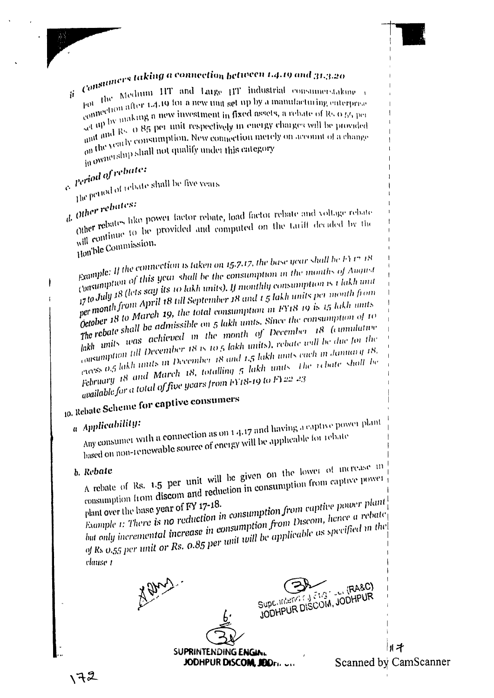# Consumers taking a connection between 1.4.19 and 31.3.20

pot the Medium HT and Large HT industrial consumerstaking pot the constituent after 1.4.19 for a new time set up by a manufacturing enterprise<br>connection after 1.4.19 for a new timest up by a manufacturing enterprise Ĥ. contracts in a section in fixed assets, a rebate of Rs 0.55 per set up by making a new investment in fixed assets, a rebate of Rs 0.55 per act <sup>HP 177</sup> Rs. O 85 per unit respectively in energy charges will be provided and and Rs. O 85 per unit respectively in energy charges will be provided and  $\frac{1}{100}$  and  $\frac{1}{100}$  consumption. New connection metely on account of a change on the yearly consumption. New connection metely on account of a change on the change shall not qualify under this category in ownership shall not qualify under this category

e Period of rebate:  $\frac{1}{2}$  he period of rebate shall be five years

<sub>d</sub>. Other rebates: Other rebates like power factor rebate, load factor rebate and voltage rebate Other seconds to be provided and computed on the tariff decided by the will continue to be provided and computed on the tariff decided by the Hon'ble Commission.

Example: If the connection is taken on 15.7.17, the base year shall be FY 17.18 examples of this year shall be the consumption in the months of August<br>consumption of this year shall be the consumption in the months of August Consumer 18 (lets say its 10 lakh units). If monthly consumption is 1 lakh unit Lywww.a. from April 18 till September 18 and 1.5 lakh units per month from per mortes to March 19, the total consumption in FY18 19 is 15 lakh units detablished in the contract of the consumption in FY18 19 is 15 lakh units Owner to shall be admissible on 5 lakh units. Since the consumption of to  $\frac{1}{4}$  and  $\frac{1}{4}$  was achieved in the month of December 18 (cumulative more consumption till December 18 is 10.5 lakh units), rebate will be due for the consumers and the later of the context of the consumer of the consumer of the consumer of the consumer of the consumer of the consumer of the consumer of the consumer of the consumer of the consumer of the consumer of the February 18 and March 18, totalling 5 lakh units. The rebate shall be available for a total of five years from FY18-19 to FY22-23

## 10. Rebate Scheme for captive consumers

### a Applicability:

Any consumer with a connection as on 1 4.17 and having a captive power plant based on non-renewable source of energy will be applicable for rebate

#### b. Rebate

A rebate of Rs. 1.5 per unit will be given on the lower of increase in consumption from discom and reduction in consumption from captive power

Example 1: There is no reduction in consumption from captive power plant plant over the base year of FY 17-18. but only incremental increase in consumption from Discom, hence a rebate of Rs  $0.55$  per unit or Rs.  $0.85$  per unit will be applicable as specified in the

vlause 1

Supe. Interior

川才 Scanned by CamScanner

 $(RASC)$ 

JODHPUR DISCOM, JODHPUR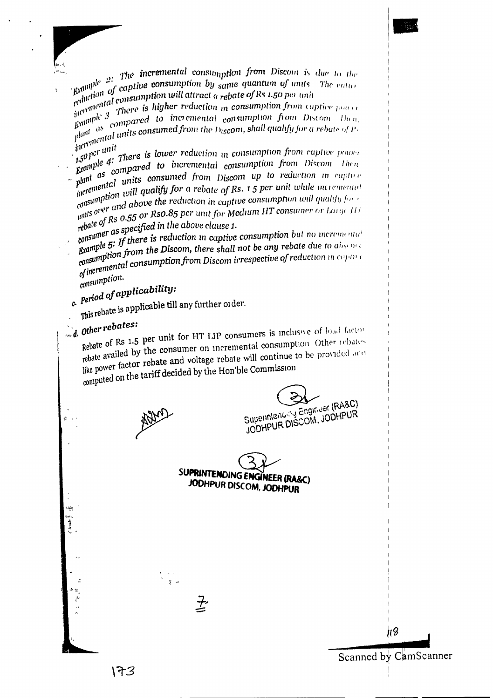$\epsilon$  and  $p!e$  2: The incremental consumption from Discom is due to the  $\epsilon$  $\mathcal{L}_{\text{ex}}$  and  $\mathcal{L}_{\text{ex}}$  are  $\mathcal{L}_{\text{ex}}$  . The same sense all the same quantum of units. The entire reduction of captive consumption by same quantum of units. The entire reduction consumption will attract a rebat reduction  $\omega$  or example to the same quantum of units<br>reduction  $\omega$  consumption will attract a rebate of Rs 1.50 per unit

- $\frac{1}{2}$  incrementary contracts to the construction in consumption from captive power expansion of compared to incremental consumption  $\theta$  compared to the enterprise power of the compared to incremental consumption  $\theta$  $\frac{1}{k}$  consumption from captive power<br>  $\frac{1}{k}$  compared to incremental consumption from Discom Then,<br>
plant as consumed from the Discom, shall might the contract of the plant  $\label{eq:optimal} \begin{minipage}{0.9\textwidth} \begin{tabular}{|c|c|c|} \hline & $a$ & $\mathit{current} $ & $\mathit{current} $ & $\mathit{current} $ \\ \hline \hline $p|a$ & $a$ & $a$ & $\mathit{other} $ \\ \hline $p|a$ & $a$ & $a$ & $\mathit{other} $ \\ \hline $p|a$ & $a$ & $a$ & $\mathit{other} $ \\ \hline $p|a$ & $a$ & $\mathit{unit} $ & $\mathit{other} $ \\ \hline \end{tabular} \end{minipage} \begin{minipage}{0.9\textwidth} \begin{tabular}{|c|c|c|} \$
- $1.50$  pcr unit.<br> $1.50$  pcr unit There is lower reduction in consumption from captive power<br>Example 4: compared to incremental consumption from  $\sim$ 1.50 per unit Example 4. Example 4. Example 4. Example 4. Example 4. Example 4. Example 4. Example 4. Example 4. Example 4. Example 4. Example 4. Example 4. Example 4. Example 4. Example 4. Example 4. Example 4. Example 4. Example 4. Ex  $p$  as  $p$  and  $p$  consumed  $p$  as  $p$  and  $p$  is  $p$  and  $p$  is  $p$  and  $p$  and  $p$  and  $p$  and  $p$  and  $p$  and  $p$  and  $p$  and  $p$  and  $p$  and  $p$  and  $p$  and  $p$  and  $p$  and  $p$  and  $p$  and  $p$  and  $p$  and  $p$  and  $p$  incrementation will qualify for a rebate of Rs. 1.5 per unit while incremental consumption will qualify for a rebate of Rs. 1.5 per unit while incremental consumption and above the reduction in captive consumption will qualify for  $\epsilon$  with over and above the reduction in captive consumption will qualify for  $\epsilon$
- with  $\frac{1}{2}$  and  $\frac{1}{2}$  are  $\frac{1}{2}$  are  $\frac{1}{2}$  are  $\frac{1}{2}$  are  $\frac{1}{2}$  are  $\frac{1}{2}$  are  $\frac{1}{2}$  are  $\frac{1}{2}$  are  $\frac{1}{2}$  are  $\frac{1}{2}$  are  $\frac{1}{2}$  are  $\frac{1}{2}$  are energies in the above  $\frac{1}{2}$ . rebair of the above clause 1.<br>consumer as specified in the above clause 1.
- consumer  $\frac{1}{2}$ . If there is reduction in captive consumption but no incremental grample 5: If there is reduction in captive consumption but no incremental  $B^{rampies}$  or  $\tilde{r}$  from the Discom, there shall not be any rebate due to absence consumption from the Discom, there shall not be any rebate due to absence consumption from Discom irrespective of reduction in copting<br>of incremental consumption from Discom irrespective of reduction in copting consumption.

# $_{c.}$  Period of applicability:

- This rebate is applicable till any further order.
- d. Other rebates:
	- Rebate of Rs 1.5 per unit for HT LIP consumers is inclusive of load factor rebate availed by the consumer on incremental consumption Other rebates Ferance with continue to be provided and selling to be provided and like power factor rebate and voltage rebate will continue to be provided and computed on the tariff decided by the Hon'ble Commission

Superintencity Engineer (RA&C) JODHPUR DISCOM, JODHPUR

SUPRINTENDING ENGINEER (RA&C) JODHPUR DISCOM, JODHPUR

 $\overline{\mathcal{I}}$ 

Scanned by CamScanner

11 B